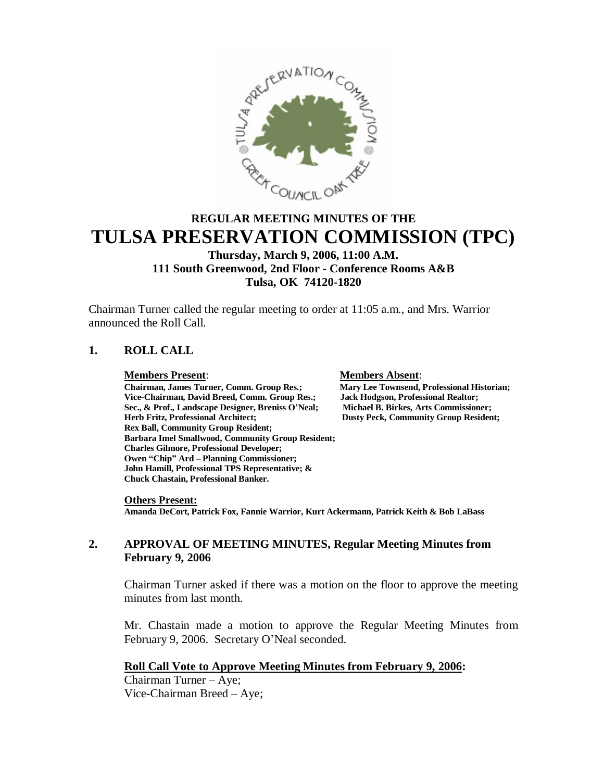

# **REGULAR MEETING MINUTES OF THE TULSA PRESERVATION COMMISSION (TPC)**

# **Thursday, March 9, 2006, 11:00 A.M. 111 South Greenwood, 2nd Floor - Conference Rooms A&B Tulsa, OK 74120-1820**

Chairman Turner called the regular meeting to order at 11:05 a.m., and Mrs. Warrior announced the Roll Call.

# **1. ROLL CALL**

**Members Present**: **Members Absent**: **Chairman, James Turner, Comm. Group Res.; Mary Lee Townsend, Professional History Comment Comm. Group Res.; Jack Hodgson, Professional Realtor; Vice-Chairman, David Breed, Comm. Group Res.; Jack Hodgson, Professional Realtor;** Sec., & Prof., Landscape Designer, Breniss O'Neal;<br>Herb Fritz, Professional Architect; **Rex Ball, Community Group Resident; Barbara Imel Smallwood, Community Group Resident; Charles Gilmore, Professional Developer; Owen "Chip" Ard – Planning Commissioner; John Hamill, Professional TPS Representative; & Chuck Chastain, Professional Banker.**

**Dusty Peck, Community Group Resident;** 

**Others Present: Amanda DeCort, Patrick Fox, Fannie Warrior, Kurt Ackermann, Patrick Keith & Bob LaBass**

### **2. APPROVAL OF MEETING MINUTES, Regular Meeting Minutes from February 9, 2006**

Chairman Turner asked if there was a motion on the floor to approve the meeting minutes from last month.

Mr. Chastain made a motion to approve the Regular Meeting Minutes from February 9, 2006. Secretary O'Neal seconded.

# **Roll Call Vote to Approve Meeting Minutes from February 9, 2006:**

Chairman Turner –Aye; Vice-Chairman Breed – Aye;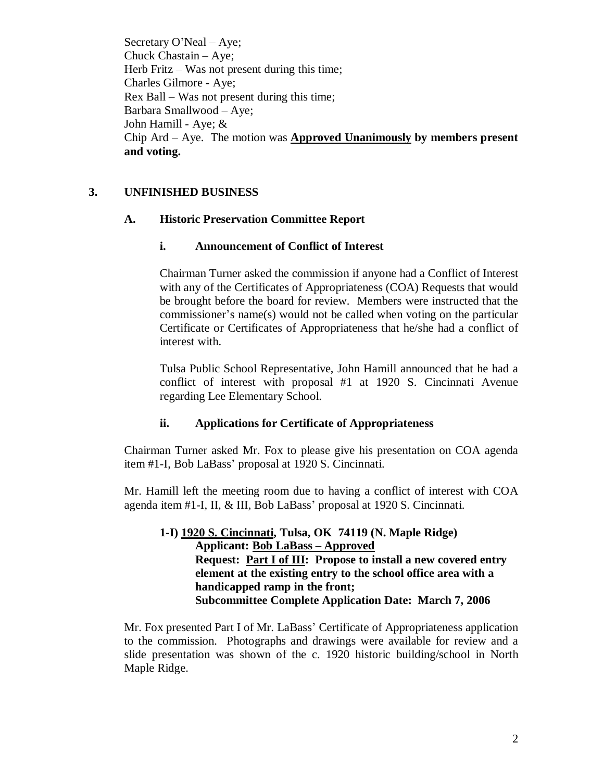Secretary O'Neal – Aye; Chuck Chastain – Aye; Herb Fritz  $-$  Was not present during this time; Charles Gilmore - Aye; Rex Ball –Was not present during this time; Barbara Smallwood –Aye; John Hamill - Aye; & Chip Ard –Aye. The motion was **Approved Unanimously by members present and voting.**

# **3. UNFINISHED BUSINESS**

#### **A. Historic Preservation Committee Report**

### **i. Announcement of Conflict of Interest**

Chairman Turner asked the commission if anyone had a Conflict of Interest with any of the Certificates of Appropriateness (COA) Requests that would be brought before the board for review. Members were instructed that the commissioner's name(s) would not be called when voting on the particular Certificate or Certificates of Appropriateness that he/she had a conflict of interest with.

Tulsa Public School Representative, John Hamill announced that he had a conflict of interest with proposal #1 at 1920 S. Cincinnati Avenue regarding Lee Elementary School.

#### **ii. Applications for Certificate of Appropriateness**

Chairman Turner asked Mr. Fox to please give his presentation on COA agenda item #1-I, Bob LaBass'proposal at 1920 S. Cincinnati.

Mr. Hamill left the meeting room due to having a conflict of interest with COA agenda item #1-I, II, & III, Bob LaBass' proposal at 1920 S. Cincinnati.

# **1-I) 1920 S. Cincinnati, Tulsa, OK 74119 (N. Maple Ridge) Applicant: Bob LaBass –Approved Request: Part I of III: Propose to install a new covered entry element at the existing entry to the school office area with a handicapped ramp in the front; Subcommittee Complete Application Date: March 7, 2006**

Mr. Fox presented Part I of Mr. LaBass'Certificate of Appropriateness application to the commission. Photographs and drawings were available for review and a slide presentation was shown of the c. 1920 historic building/school in North Maple Ridge.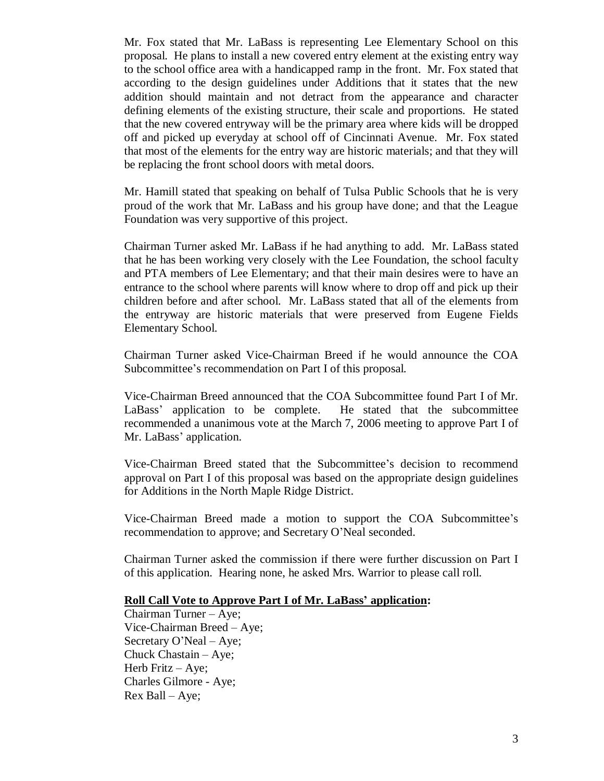Mr. Fox stated that Mr. LaBass is representing Lee Elementary School on this proposal. He plans to install a new covered entry element at the existing entry way to the school office area with a handicapped ramp in the front. Mr. Fox stated that according to the design guidelines under Additions that it states that the new addition should maintain and not detract from the appearance and character defining elements of the existing structure, their scale and proportions. He stated that the new covered entryway will be the primary area where kids will be dropped off and picked up everyday at school off of Cincinnati Avenue. Mr. Fox stated that most of the elements for the entry way are historic materials; and that they will be replacing the front school doors with metal doors.

Mr. Hamill stated that speaking on behalf of Tulsa Public Schools that he is very proud of the work that Mr. LaBass and his group have done; and that the League Foundation was very supportive of this project.

Chairman Turner asked Mr. LaBass if he had anything to add. Mr. LaBass stated that he has been working very closely with the Lee Foundation, the school faculty and PTA members of Lee Elementary; and that their main desires were to have an entrance to the school where parents will know where to drop off and pick up their children before and after school. Mr. LaBass stated that all of the elements from the entryway are historic materials that were preserved from Eugene Fields Elementary School.

Chairman Turner asked Vice-Chairman Breed if he would announce the COA Subcommittee's recommendation on Part I of this proposal.

Vice-Chairman Breed announced that the COA Subcommittee found Part I of Mr. LaBass'application to be complete. He stated that the subcommittee recommended a unanimous vote at the March 7, 2006 meeting to approve Part I of Mr. LaBass'application.

Vice-Chairman Breed stated that the Subcommittee's decision to recommend approval on Part I of this proposal was based on the appropriate design guidelines for Additions in the North Maple Ridge District.

Vice-Chairman Breed made a motion to support the COA Subcommittee's recommendation to approve; and Secretary O'Neal seconded.

Chairman Turner asked the commission if there were further discussion on Part I of this application. Hearing none, he asked Mrs. Warrior to please call roll.

#### **Roll Call Vote to Approve Part I of Mr. LaBass' application:**

Chairman Turner – Aye; Vice-Chairman Breed – Aye; Secretary O'Neal – Aye; Chuck Chastain – Aye; Herb Fritz – Aye; Charles Gilmore - Aye; Rex Ball –Aye;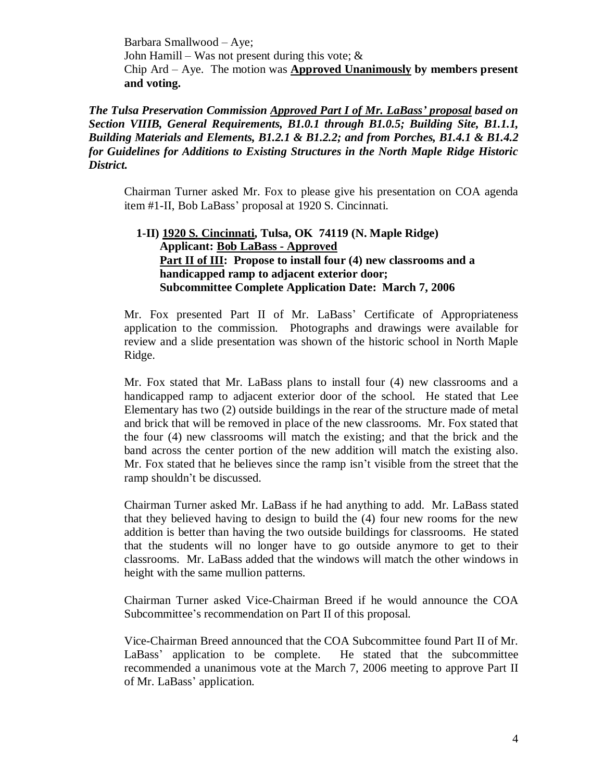Barbara Smallwood – Aye; John Hamill – Was not present during this vote;  $\&$ Chip Ard –Aye. The motion was **Approved Unanimously by members present and voting.**

*The Tulsa Preservation Commission Approved Part I of Mr. LaBass' proposal based on Section VIIIB, General Requirements, B1.0.1 through B1.0.5; Building Site, B1.1.1, Building Materials and Elements, B1.2.1 & B1.2.2; and from Porches, B1.4.1 & B1.4.2 for Guidelines for Additions to Existing Structures in the North Maple Ridge Historic District.*

Chairman Turner asked Mr. Fox to please give his presentation on COA agenda item #1-II, Bob LaBass' proposal at 1920 S. Cincinnati.

### **1-II) 1920 S. Cincinnati, Tulsa, OK 74119 (N. Maple Ridge) Applicant: Bob LaBass - Approved** Part II of III: Propose to install four (4) new classrooms and a **handicapped ramp to adjacent exterior door; Subcommittee Complete Application Date: March 7, 2006**

Mr. Fox presented Part II of Mr. LaBass' Certificate of Appropriateness application to the commission. Photographs and drawings were available for review and a slide presentation was shown of the historic school in North Maple Ridge.

Mr. Fox stated that Mr. LaBass plans to install four (4) new classrooms and a handicapped ramp to adjacent exterior door of the school. He stated that Lee Elementary has two (2) outside buildings in the rear of the structure made of metal and brick that will be removed in place of the new classrooms. Mr. Fox stated that the four (4) new classrooms will match the existing; and that the brick and the band across the center portion of the new addition will match the existing also. Mr. Fox stated that he believes since the ramp isn't visible from the street that the ramp shouldn't be discussed.

Chairman Turner asked Mr. LaBass if he had anything to add. Mr. LaBass stated that they believed having to design to build the (4) four new rooms for the new addition is better than having the two outside buildings for classrooms. He stated that the students will no longer have to go outside anymore to get to their classrooms. Mr. LaBass added that the windows will match the other windows in height with the same mullion patterns.

Chairman Turner asked Vice-Chairman Breed if he would announce the COA Subcommittee's recommendation on Part II of this proposal.

Vice-Chairman Breed announced that the COA Subcommittee found Part II of Mr. LaBass' application to be complete. He stated that the subcommittee recommended a unanimous vote at the March 7, 2006 meeting to approve Part II of Mr. LaBass'application.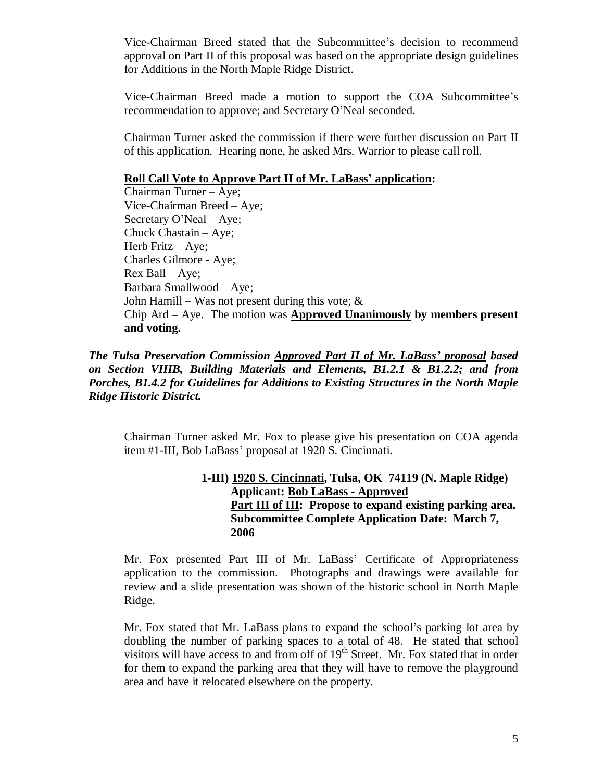Vice-Chairman Breed stated that the Subcommittee's decision to recommend approval on Part II of this proposal was based on the appropriate design guidelines for Additions in the North Maple Ridge District.

Vice-Chairman Breed made a motion to support the COA Subcommittee's recommendation to approve; and Secretary O'Neal seconded.

Chairman Turner asked the commission if there were further discussion on Part II of this application. Hearing none, he asked Mrs. Warrior to please call roll.

#### **Roll Call Vote to Approve Part II of Mr. LaBass' application:**

Chairman Turner – Aye; Vice-Chairman Breed – Aye; Secretary O'Neal – Aye; Chuck Chastain – Aye; Herb Fritz – Aye; Charles Gilmore - Aye; Rex Ball –Aye; Barbara Smallwood – Aye; John Hamill – Was not present during this vote;  $\&$ Chip Ard –Aye. The motion was **Approved Unanimously by members present and voting.**

*The Tulsa Preservation Commission Approved Part II of Mr. LaBass' proposal based on Section VIIIB, Building Materials and Elements, B1.2.1 & B1.2.2; and from Porches, B1.4.2 for Guidelines for Additions to Existing Structures in the North Maple Ridge Historic District.*

Chairman Turner asked Mr. Fox to please give his presentation on COA agenda item #1-III, Bob LaBass' proposal at 1920 S. Cincinnati.

### **1-III) 1920 S. Cincinnati, Tulsa, OK 74119 (N. Maple Ridge) Applicant: Bob LaBass - Approved Part III of III: Propose to expand existing parking area. Subcommittee Complete Application Date: March 7, 2006**

Mr. Fox presented Part III of Mr. LaBass' Certificate of Appropriateness application to the commission. Photographs and drawings were available for review and a slide presentation was shown of the historic school in North Maple Ridge.

Mr. Fox stated that Mr. LaBass plans to expand the school's parking lot area by doubling the number of parking spaces to a total of 48. He stated that school visitors will have access to and from off of  $19<sup>th</sup>$  Street. Mr. Fox stated that in order for them to expand the parking area that they will have to remove the playground area and have it relocated elsewhere on the property.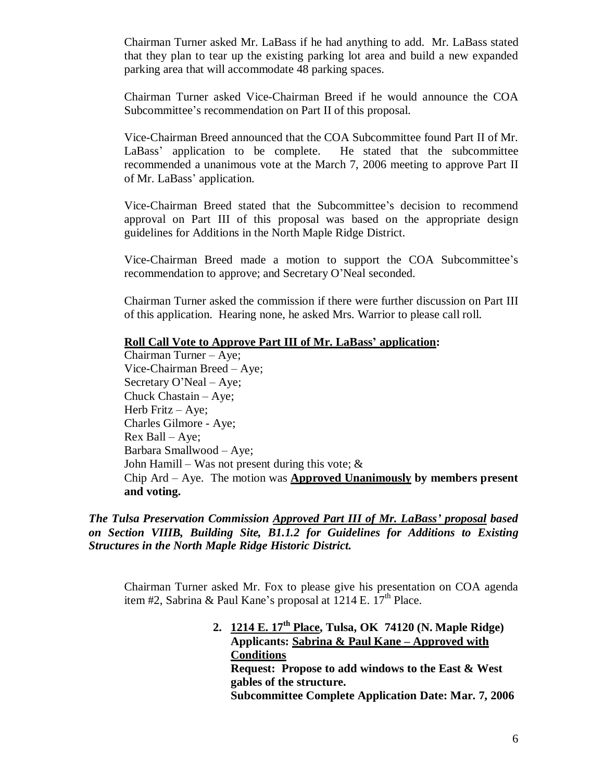Chairman Turner asked Mr. LaBass if he had anything to add. Mr. LaBass stated that they plan to tear up the existing parking lot area and build a new expanded parking area that will accommodate 48 parking spaces.

Chairman Turner asked Vice-Chairman Breed if he would announce the COA Subcommittee's recommendation on Part II of this proposal.

Vice-Chairman Breed announced that the COA Subcommittee found Part II of Mr. LaBass' application to be complete. He stated that the subcommittee recommended a unanimous vote at the March 7, 2006 meeting to approve Part II of Mr. LaBass'application.

Vice-Chairman Breed stated that the Subcommittee's decision to recommend approval on Part III of this proposal was based on the appropriate design guidelines for Additions in the North Maple Ridge District.

Vice-Chairman Breed made a motion to support the COA Subcommittee's recommendation to approve; and Secretary O'Neal seconded.

Chairman Turner asked the commission if there were further discussion on Part III of this application. Hearing none, he asked Mrs. Warrior to please call roll.

#### **Roll Call Vote to Approve Part III of Mr. LaBass' application:**

Chairman Turner – Aye; Vice-Chairman Breed – Aye; Secretary O'Neal – Aye; Chuck Chastain – Aye; Herb Fritz – Aye; Charles Gilmore - Aye; Rex Ball –Aye; Barbara Smallwood – Aye; John Hamill – Was not present during this vote;  $\&$ Chip Ard –Aye. The motion was **Approved Unanimously by members present and voting.**

*The Tulsa Preservation Commission Approved Part III of Mr. LaBass' proposal based on Section VIIIB, Building Site, B1.1.2 for Guidelines for Additions to Existing Structures in the North Maple Ridge Historic District.*

Chairman Turner asked Mr. Fox to please give his presentation on COA agenda item #2, Sabrina & Paul Kane's proposal at  $1214$  E.  $17<sup>th</sup>$  Place.

> **2. 1214 E. 17th Place, Tulsa, OK 74120 (N. Maple Ridge) Applicants: Sabrina & Paul Kane – Approved with Conditions Request: Propose to add windows to the East & West gables of the structure. Subcommittee Complete Application Date: Mar. 7, 2006**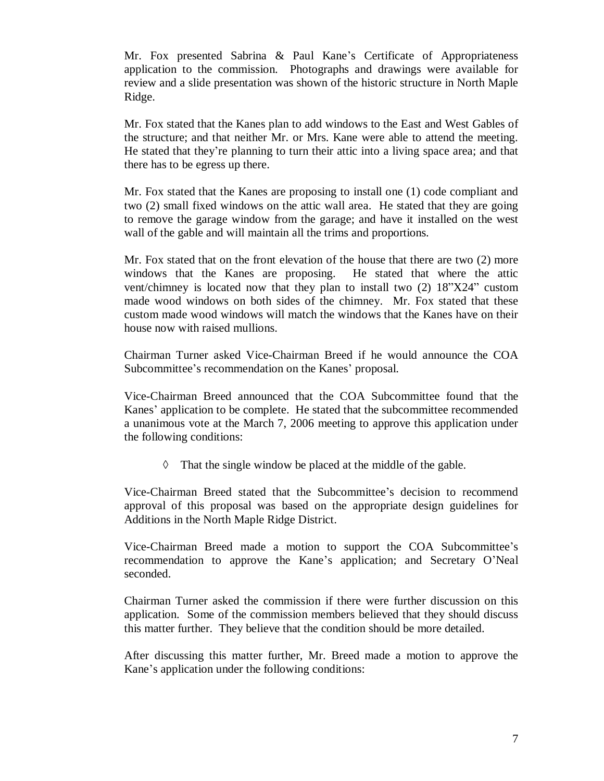Mr. Fox presented Sabrina & Paul Kane's Certificate of Appropriateness application to the commission. Photographs and drawings were available for review and a slide presentation was shown of the historic structure in North Maple Ridge.

Mr. Fox stated that the Kanes plan to add windows to the East and West Gables of the structure; and that neither Mr. or Mrs. Kane were able to attend the meeting. He stated that they're planning to turn their attic into a living space area; and that there has to be egress up there.

Mr. Fox stated that the Kanes are proposing to install one (1) code compliant and two (2) small fixed windows on the attic wall area. He stated that they are going to remove the garage window from the garage; and have it installed on the west wall of the gable and will maintain all the trims and proportions.

Mr. Fox stated that on the front elevation of the house that there are two (2) more windows that the Kanes are proposing. He stated that where the attic vent/chimney is located now that they plan to install two (2) 18"X24" custom made wood windows on both sides of the chimney. Mr. Fox stated that these custom made wood windows will match the windows that the Kanes have on their house now with raised mullions.

Chairman Turner asked Vice-Chairman Breed if he would announce the COA Subcommittee's recommendation on the Kanes'proposal.

Vice-Chairman Breed announced that the COA Subcommittee found that the Kanes'application to be complete. He stated that the subcommittee recommended a unanimous vote at the March 7, 2006 meeting to approve this application under the following conditions:

 $\Diamond$  That the single window be placed at the middle of the gable.

Vice-Chairman Breed stated that the Subcommittee's decision to recommend approval of this proposal was based on the appropriate design guidelines for Additions in the North Maple Ridge District.

Vice-Chairman Breed made a motion to support the COA Subcommittee's recommendation to approve the Kane's application; and Secretary O'Neal seconded.

Chairman Turner asked the commission if there were further discussion on this application. Some of the commission members believed that they should discuss this matter further. They believe that the condition should be more detailed.

After discussing this matter further, Mr. Breed made a motion to approve the Kane's application under the following conditions: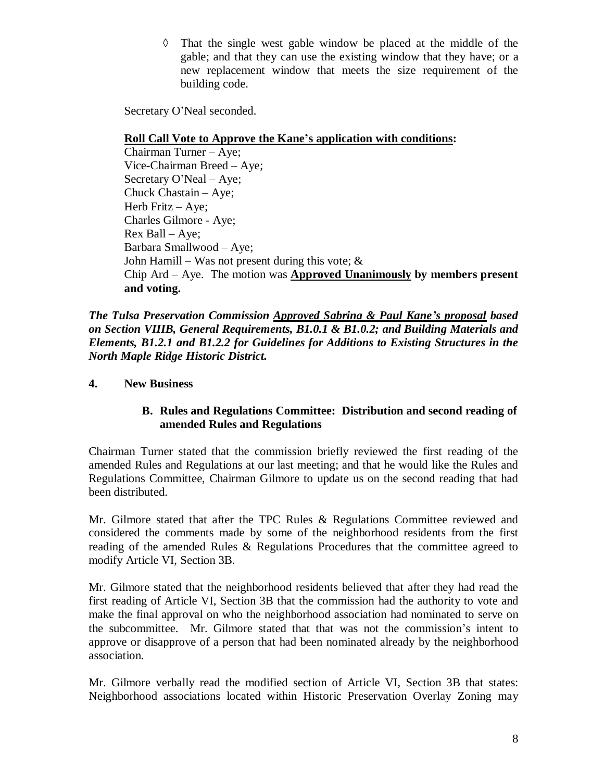$\Diamond$  That the single west gable window be placed at the middle of the gable; and that they can use the existing window that they have; or a new replacement window that meets the size requirement of the building code.

Secretary O'Neal seconded.

# **Roll Call Vote to Approve the Kane's application with conditions:**

Chairman Turner – Aye; Vice-Chairman Breed – Aye; Secretary O'Neal – Aye; Chuck Chastain – Aye; Herb Fritz – Aye; Charles Gilmore - Aye; Rex Ball –Aye; Barbara Smallwood – Aye; John Hamill – Was not present during this vote;  $\&$ Chip Ard –Aye. The motion was **Approved Unanimously by members present and voting.**

*The Tulsa Preservation Commission Approved Sabrina & Paul Kane's proposal based on Section VIIIB, General Requirements, B1.0.1 & B1.0.2; and Building Materials and Elements, B1.2.1 and B1.2.2 for Guidelines for Additions to Existing Structures in the North Maple Ridge Historic District.*

# **4. New Business**

### **B. Rules and Regulations Committee: Distribution and second reading of amended Rules and Regulations**

Chairman Turner stated that the commission briefly reviewed the first reading of the amended Rules and Regulations at our last meeting; and that he would like the Rules and Regulations Committee, Chairman Gilmore to update us on the second reading that had been distributed.

Mr. Gilmore stated that after the TPC Rules & Regulations Committee reviewed and considered the comments made by some of the neighborhood residents from the first reading of the amended Rules & Regulations Procedures that the committee agreed to modify Article VI, Section 3B.

Mr. Gilmore stated that the neighborhood residents believed that after they had read the first reading of Article VI, Section 3B that the commission had the authority to vote and make the final approval on who the neighborhood association had nominated to serve on the subcommittee. Mr. Gilmore stated that that was not the commission's intent to approve or disapprove of a person that had been nominated already by the neighborhood association.

Mr. Gilmore verbally read the modified section of Article VI, Section 3B that states: Neighborhood associations located within Historic Preservation Overlay Zoning may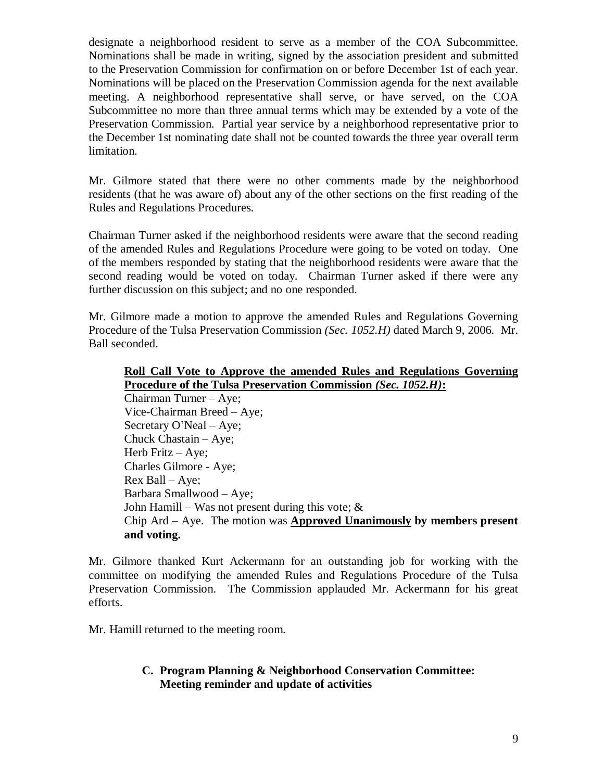designate a neighborhood resident to serve as a member of the COA Subcommittee. Nominations shall be made in writing, signed by the association president and submitted to the Preservation Commission for confirmation on or before December 1st of each year. Nominations will be placed on the Preservation Commission agenda for the next available meeting. A neighborhood representative shall serve, or have served, on the COA Subcommittee no more than three annual terms which may be extended by a vote of the Preservation Commission. Partial year service by a neighborhood representative prior to the December 1st nominating date shall not be counted towards the three year overall term limitation.

Mr. Gilmore stated that there were no other comments made by the neighborhood residents (that he was aware of) about any of the other sections on the first reading of the Rules and Regulations Procedures.

Chairman Turner asked if the neighborhood residents were aware that the second reading of the amended Rules and Regulations Procedure were going to be voted on today. One of the members responded by stating that the neighborhood residents were aware that the second reading would be voted on today. Chairman Turner asked if there were any further discussion on this subject; and no one responded.

Mr. Gilmore made a motion to approve the amended Rules and Regulations Governing Procedure of the Tulsa Preservation Commission *(Sec. 1052.H)* dated March 9, 2006*.* Mr. Ball seconded.

#### **Roll Call Vote to Approve the amended Rules and Regulations Governing Procedure of the Tulsa Preservation Commission** *(Sec. 1052.H)***:**

Chairman Turner – Aye; Vice-Chairman Breed – Aye; Secretary O'Neal – Aye; Chuck Chastain – Aye; Herb Fritz – Aye; Charles Gilmore - Aye;  $Rex$  Ball – Aye; Barbara Smallwood – Aye; John Hamill – Was not present during this vote;  $\&$ Chip Ard –Aye. The motion was **Approved Unanimously by members present and voting.**

Mr. Gilmore thanked Kurt Ackermann for an outstanding job for working with the committee on modifying the amended Rules and Regulations Procedure of the Tulsa Preservation Commission. The Commission applauded Mr. Ackermann for his great efforts.

Mr. Hamill returned to the meeting room.

# **C. Program Planning & Neighborhood Conservation Committee: Meeting reminder and update of activities**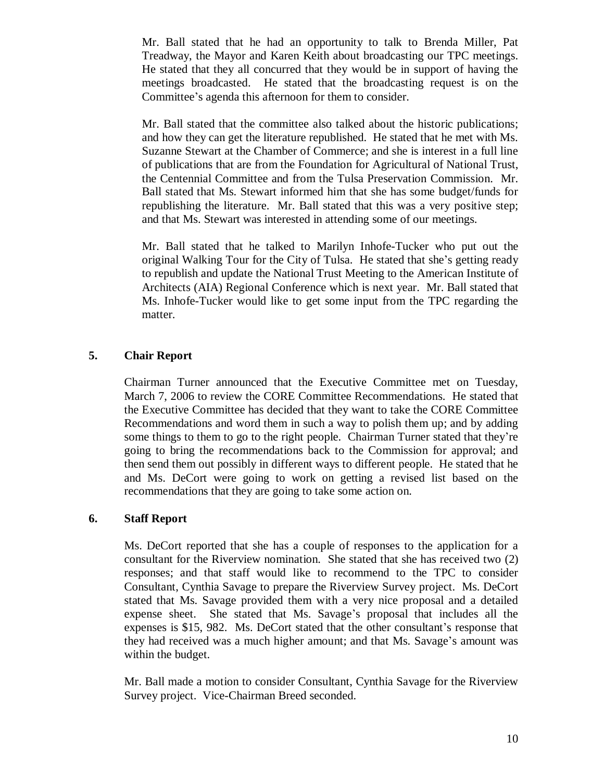Mr. Ball stated that he had an opportunity to talk to Brenda Miller, Pat Treadway, the Mayor and Karen Keith about broadcasting our TPC meetings. He stated that they all concurred that they would be in support of having the meetings broadcasted. He stated that the broadcasting request is on the Committee's agenda this afternoon for them to consider.

Mr. Ball stated that the committee also talked about the historic publications; and how they can get the literature republished. He stated that he met with Ms. Suzanne Stewart at the Chamber of Commerce; and she is interest in a full line of publications that are from the Foundation for Agricultural of National Trust, the Centennial Committee and from the Tulsa Preservation Commission. Mr. Ball stated that Ms. Stewart informed him that she has some budget/funds for republishing the literature. Mr. Ball stated that this was a very positive step; and that Ms. Stewart was interested in attending some of our meetings.

Mr. Ball stated that he talked to Marilyn Inhofe-Tucker who put out the original Walking Tour for the City of Tulsa. He stated that she's getting ready to republish and update the National Trust Meeting to the American Institute of Architects (AIA) Regional Conference which is next year. Mr. Ball stated that Ms. Inhofe-Tucker would like to get some input from the TPC regarding the matter.

# **5. Chair Report**

Chairman Turner announced that the Executive Committee met on Tuesday, March 7, 2006 to review the CORE Committee Recommendations. He stated that the Executive Committee has decided that they want to take the CORE Committee Recommendations and word them in such a way to polish them up; and by adding some things to them to go to the right people. Chairman Turner stated that they're going to bring the recommendations back to the Commission for approval; and then send them out possibly in different ways to different people. He stated that he and Ms. DeCort were going to work on getting a revised list based on the recommendations that they are going to take some action on.

# **6. Staff Report**

Ms. DeCort reported that she has a couple of responses to the application for a consultant for the Riverview nomination. She stated that she has received two (2) responses; and that staff would like to recommend to the TPC to consider Consultant, Cynthia Savage to prepare the Riverview Survey project. Ms. DeCort stated that Ms. Savage provided them with a very nice proposal and a detailed expense sheet. She stated that Ms. Savage's proposal that includes all the expenses is \$15, 982. Ms. DeCort stated that the other consultant's response that they had received was a much higher amount; and that Ms. Savage's amount was within the budget.

Mr. Ball made a motion to consider Consultant, Cynthia Savage for the Riverview Survey project. Vice-Chairman Breed seconded.